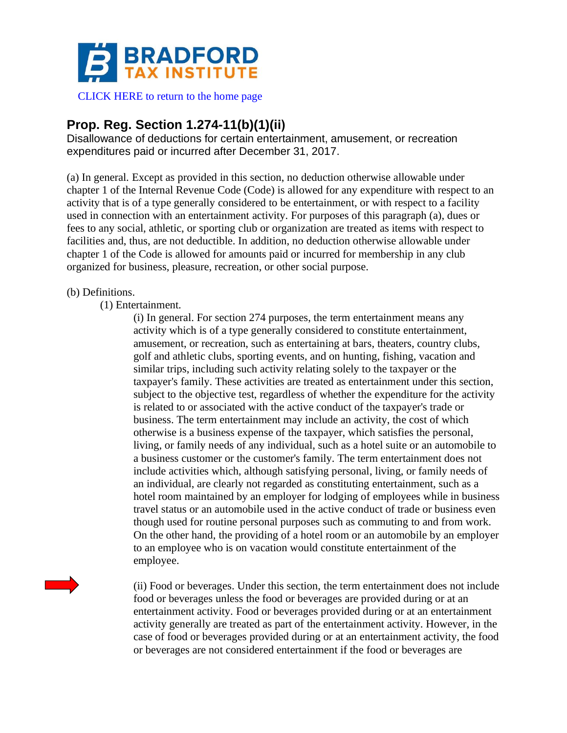

[CLICK HERE to return to the home page](http://www.bradfordtaxinstitute.com)

## **Prop. Reg. Section 1.274-11(b)(1)(ii)**

Disallowance of deductions for certain entertainment, amusement, or recreation expenditures paid or incurred after December 31, 2017.

(a) In general. Except as provided in this section, no deduction otherwise allowable under chapter 1 of the Internal Revenue Code (Code) is allowed for any expenditure with respect to an activity that is of a type generally considered to be entertainment, or with respect to a facility used in connection with an entertainment activity. For purposes of this paragraph (a), dues or fees to any social, athletic, or sporting club or organization are treated as items with respect to facilities and, thus, are not deductible. In addition, no deduction otherwise allowable under chapter 1 of the Code is allowed for amounts paid or incurred for membership in any club organized for business, pleasure, recreation, or other social purpose.

## (b) Definitions.

(1) Entertainment.

(i) In general. For section 274 purposes, the term entertainment means any activity which is of a type generally considered to constitute entertainment, amusement, or recreation, such as entertaining at bars, theaters, country clubs, golf and athletic clubs, sporting events, and on hunting, fishing, vacation and similar trips, including such activity relating solely to the taxpayer or the taxpayer's family. These activities are treated as entertainment under this section, subject to the objective test, regardless of whether the expenditure for the activity is related to or associated with the active conduct of the taxpayer's trade or business. The term entertainment may include an activity, the cost of which otherwise is a business expense of the taxpayer, which satisfies the personal, living, or family needs of any individual, such as a hotel suite or an automobile to a business customer or the customer's family. The term entertainment does not include activities which, although satisfying personal, living, or family needs of an individual, are clearly not regarded as constituting entertainment, such as a hotel room maintained by an employer for lodging of employees while in business travel status or an automobile used in the active conduct of trade or business even though used for routine personal purposes such as commuting to and from work. On the other hand, the providing of a hotel room or an automobile by an employer to an employee who is on vacation would constitute entertainment of the employee.

(ii) Food or beverages. Under this section, the term entertainment does not include food or beverages unless the food or beverages are provided during or at an entertainment activity. Food or beverages provided during or at an entertainment activity generally are treated as part of the entertainment activity. However, in the case of food or beverages provided during or at an entertainment activity, the food or beverages are not considered entertainment if the food or beverages are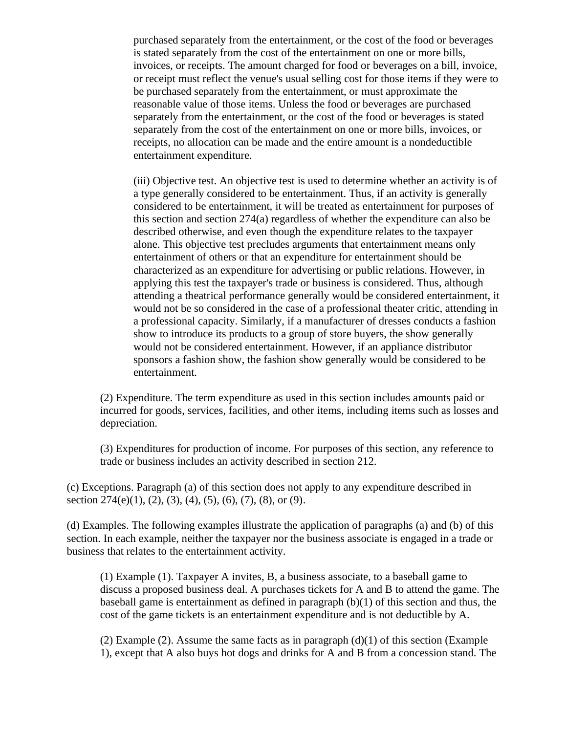purchased separately from the entertainment, or the cost of the food or beverages is stated separately from the cost of the entertainment on one or more bills, invoices, or receipts. The amount charged for food or beverages on a bill, invoice, or receipt must reflect the venue's usual selling cost for those items if they were to be purchased separately from the entertainment, or must approximate the reasonable value of those items. Unless the food or beverages are purchased separately from the entertainment, or the cost of the food or beverages is stated separately from the cost of the entertainment on one or more bills, invoices, or receipts, no allocation can be made and the entire amount is a nondeductible entertainment expenditure.

(iii) Objective test. An objective test is used to determine whether an activity is of a type generally considered to be entertainment. Thus, if an activity is generally considered to be entertainment, it will be treated as entertainment for purposes of this section and section 274(a) regardless of whether the expenditure can also be described otherwise, and even though the expenditure relates to the taxpayer alone. This objective test precludes arguments that entertainment means only entertainment of others or that an expenditure for entertainment should be characterized as an expenditure for advertising or public relations. However, in applying this test the taxpayer's trade or business is considered. Thus, although attending a theatrical performance generally would be considered entertainment, it would not be so considered in the case of a professional theater critic, attending in a professional capacity. Similarly, if a manufacturer of dresses conducts a fashion show to introduce its products to a group of store buyers, the show generally would not be considered entertainment. However, if an appliance distributor sponsors a fashion show, the fashion show generally would be considered to be entertainment.

(2) Expenditure. The term expenditure as used in this section includes amounts paid or incurred for goods, services, facilities, and other items, including items such as losses and depreciation.

(3) Expenditures for production of income. For purposes of this section, any reference to trade or business includes an activity described in section 212.

(c) Exceptions. Paragraph (a) of this section does not apply to any expenditure described in section  $274(e)(1)$ ,  $(2)$ ,  $(3)$ ,  $(4)$ ,  $(5)$ ,  $(6)$ ,  $(7)$ ,  $(8)$ , or  $(9)$ .

(d) Examples. The following examples illustrate the application of paragraphs (a) and (b) of this section. In each example, neither the taxpayer nor the business associate is engaged in a trade or business that relates to the entertainment activity.

(1) Example (1). Taxpayer A invites, B, a business associate, to a baseball game to discuss a proposed business deal. A purchases tickets for A and B to attend the game. The baseball game is entertainment as defined in paragraph (b)(1) of this section and thus, the cost of the game tickets is an entertainment expenditure and is not deductible by A.

(2) Example (2). Assume the same facts as in paragraph  $(d)(1)$  of this section (Example 1), except that A also buys hot dogs and drinks for A and B from a concession stand. The